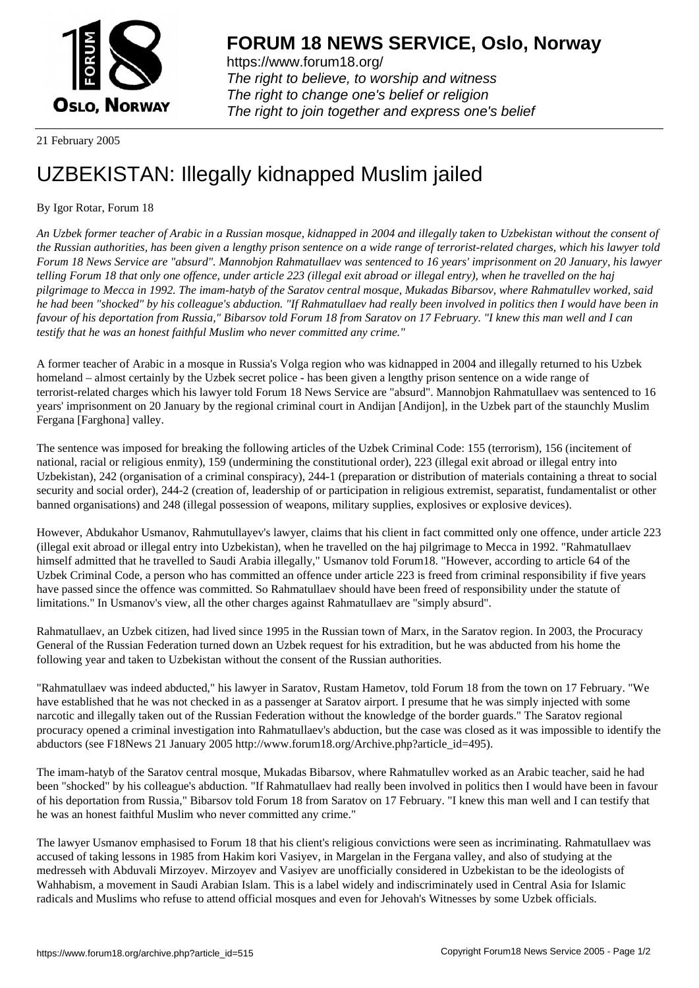

https://www.forum18.org/ The right to believe, to worship and witness The right to change one's belief or religion [The right to join together a](https://www.forum18.org/)nd express one's belief

## 21 February 2005

## [UZBEKISTAN:](https://www.forum18.org) Illegally kidnapped Muslim jailed

## By Igor Rotar, Forum 18

*An Uzbek former teacher of Arabic in a Russian mosque, kidnapped in 2004 and illegally taken to Uzbekistan without the consent of the Russian authorities, has been given a lengthy prison sentence on a wide range of terrorist-related charges, which his lawyer told Forum 18 News Service are "absurd". Mannobjon Rahmatullaev was sentenced to 16 years' imprisonment on 20 January, his lawyer telling Forum 18 that only one offence, under article 223 (illegal exit abroad or illegal entry), when he travelled on the haj pilgrimage to Mecca in 1992. The imam-hatyb of the Saratov central mosque, Mukadas Bibarsov, where Rahmatullev worked, said he had been "shocked" by his colleague's abduction. "If Rahmatullaev had really been involved in politics then I would have been in favour of his deportation from Russia," Bibarsov told Forum 18 from Saratov on 17 February. "I knew this man well and I can testify that he was an honest faithful Muslim who never committed any crime."*

A former teacher of Arabic in a mosque in Russia's Volga region who was kidnapped in 2004 and illegally returned to his Uzbek homeland – almost certainly by the Uzbek secret police - has been given a lengthy prison sentence on a wide range of terrorist-related charges which his lawyer told Forum 18 News Service are "absurd". Mannobjon Rahmatullaev was sentenced to 16 years' imprisonment on 20 January by the regional criminal court in Andijan [Andijon], in the Uzbek part of the staunchly Muslim Fergana [Farghona] valley.

The sentence was imposed for breaking the following articles of the Uzbek Criminal Code: 155 (terrorism), 156 (incitement of national, racial or religious enmity), 159 (undermining the constitutional order), 223 (illegal exit abroad or illegal entry into Uzbekistan), 242 (organisation of a criminal conspiracy), 244-1 (preparation or distribution of materials containing a threat to social security and social order), 244-2 (creation of, leadership of or participation in religious extremist, separatist, fundamentalist or other banned organisations) and 248 (illegal possession of weapons, military supplies, explosives or explosive devices).

However, Abdukahor Usmanov, Rahmutullayev's lawyer, claims that his client in fact committed only one offence, under article 223 (illegal exit abroad or illegal entry into Uzbekistan), when he travelled on the haj pilgrimage to Mecca in 1992. "Rahmatullaev himself admitted that he travelled to Saudi Arabia illegally," Usmanov told Forum18. "However, according to article 64 of the Uzbek Criminal Code, a person who has committed an offence under article 223 is freed from criminal responsibility if five years have passed since the offence was committed. So Rahmatullaev should have been freed of responsibility under the statute of limitations." In Usmanov's view, all the other charges against Rahmatullaev are "simply absurd".

Rahmatullaev, an Uzbek citizen, had lived since 1995 in the Russian town of Marx, in the Saratov region. In 2003, the Procuracy General of the Russian Federation turned down an Uzbek request for his extradition, but he was abducted from his home the following year and taken to Uzbekistan without the consent of the Russian authorities.

"Rahmatullaev was indeed abducted," his lawyer in Saratov, Rustam Hametov, told Forum 18 from the town on 17 February. "We have established that he was not checked in as a passenger at Saratov airport. I presume that he was simply injected with some narcotic and illegally taken out of the Russian Federation without the knowledge of the border guards." The Saratov regional procuracy opened a criminal investigation into Rahmatullaev's abduction, but the case was closed as it was impossible to identify the abductors (see F18News 21 January 2005 http://www.forum18.org/Archive.php?article\_id=495).

The imam-hatyb of the Saratov central mosque, Mukadas Bibarsov, where Rahmatullev worked as an Arabic teacher, said he had been "shocked" by his colleague's abduction. "If Rahmatullaev had really been involved in politics then I would have been in favour of his deportation from Russia," Bibarsov told Forum 18 from Saratov on 17 February. "I knew this man well and I can testify that he was an honest faithful Muslim who never committed any crime."

The lawyer Usmanov emphasised to Forum 18 that his client's religious convictions were seen as incriminating. Rahmatullaev was accused of taking lessons in 1985 from Hakim kori Vasiyev, in Margelan in the Fergana valley, and also of studying at the medresseh with Abduvali Mirzoyev. Mirzoyev and Vasiyev are unofficially considered in Uzbekistan to be the ideologists of Wahhabism, a movement in Saudi Arabian Islam. This is a label widely and indiscriminately used in Central Asia for Islamic radicals and Muslims who refuse to attend official mosques and even for Jehovah's Witnesses by some Uzbek officials.